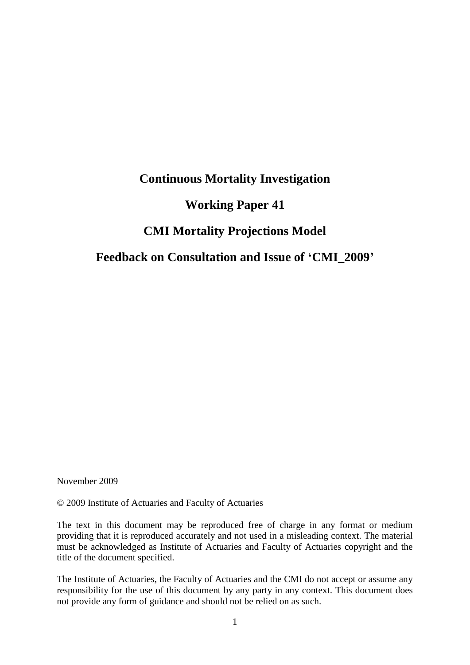## **Continuous Mortality Investigation**

## **Working Paper 41**

## **CMI Mortality Projections Model**

## **Feedback on Consultation and Issue of 'CMI\_2009'**

November 2009

© 2009 Institute of Actuaries and Faculty of Actuaries

The text in this document may be reproduced free of charge in any format or medium providing that it is reproduced accurately and not used in a misleading context. The material must be acknowledged as Institute of Actuaries and Faculty of Actuaries copyright and the title of the document specified.

The Institute of Actuaries, the Faculty of Actuaries and the CMI do not accept or assume any responsibility for the use of this document by any party in any context. This document does not provide any form of guidance and should not be relied on as such.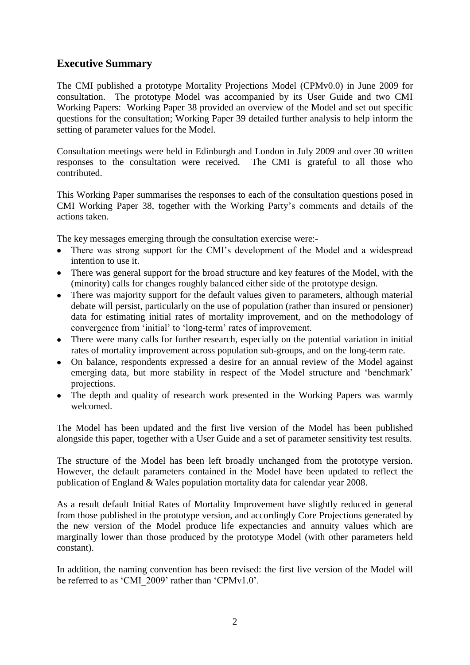## <span id="page-1-0"></span>**Executive Summary**

The CMI published a prototype Mortality Projections Model (CPMv0.0) in June 2009 for consultation. The prototype Model was accompanied by its User Guide and two CMI Working Papers: Working Paper 38 provided an overview of the Model and set out specific questions for the consultation; Working Paper 39 detailed further analysis to help inform the setting of parameter values for the Model.

Consultation meetings were held in Edinburgh and London in July 2009 and over 30 written responses to the consultation were received. The CMI is grateful to all those who contributed.

This Working Paper summarises the responses to each of the consultation questions posed in CMI Working Paper 38, together with the Working Party"s comments and details of the actions taken.

The key messages emerging through the consultation exercise were:-

- There was strong support for the CMI's development of the Model and a widespread intention to use it.
- There was general support for the broad structure and key features of the Model, with the (minority) calls for changes roughly balanced either side of the prototype design.
- There was majority support for the default values given to parameters, although material debate will persist, particularly on the use of population (rather than insured or pensioner) data for estimating initial rates of mortality improvement, and on the methodology of convergence from "initial" to "long-term" rates of improvement.
- There were many calls for further research, especially on the potential variation in initial rates of mortality improvement across population sub-groups, and on the long-term rate.
- On balance, respondents expressed a desire for an annual review of the Model against emerging data, but more stability in respect of the Model structure and 'benchmark' projections.
- The depth and quality of research work presented in the Working Papers was warmly welcomed.

The Model has been updated and the first live version of the Model has been published alongside this paper, together with a User Guide and a set of parameter sensitivity test results.

The structure of the Model has been left broadly unchanged from the prototype version. However, the default parameters contained in the Model have been updated to reflect the publication of England & Wales population mortality data for calendar year 2008.

As a result default Initial Rates of Mortality Improvement have slightly reduced in general from those published in the prototype version, and accordingly Core Projections generated by the new version of the Model produce life expectancies and annuity values which are marginally lower than those produced by the prototype Model (with other parameters held constant).

In addition, the naming convention has been revised: the first live version of the Model will be referred to as 'CMI\_2009' rather than 'CPMv1.0'.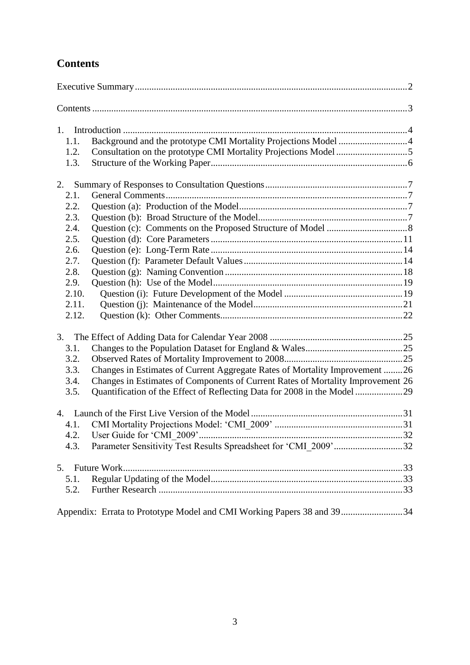# <span id="page-2-0"></span>**Contents**

| 1.    |                                                                                 |  |
|-------|---------------------------------------------------------------------------------|--|
| 1.1.  | Background and the prototype CMI Mortality Projections Model 4                  |  |
| 1.2.  | Consultation on the prototype CMI Mortality Projections Model 5                 |  |
| 1.3.  |                                                                                 |  |
| 2.    |                                                                                 |  |
| 2.1.  |                                                                                 |  |
| 2.2.  |                                                                                 |  |
| 2.3.  |                                                                                 |  |
| 2.4.  |                                                                                 |  |
| 2.5.  |                                                                                 |  |
| 2.6.  |                                                                                 |  |
| 2.7.  |                                                                                 |  |
| 2.8.  |                                                                                 |  |
| 2.9.  |                                                                                 |  |
| 2.10. |                                                                                 |  |
| 2.11. |                                                                                 |  |
| 2.12. |                                                                                 |  |
| 3.    |                                                                                 |  |
| 3.1.  |                                                                                 |  |
| 3.2.  |                                                                                 |  |
| 3.3.  | Changes in Estimates of Current Aggregate Rates of Mortality Improvement 26     |  |
| 3.4.  | Changes in Estimates of Components of Current Rates of Mortality Improvement 26 |  |
| 3.5.  |                                                                                 |  |
|       |                                                                                 |  |
| 4.1.  |                                                                                 |  |
| 42    | User Guide for 'CMI 2009'.                                                      |  |
| 4.3.  | Parameter Sensitivity Test Results Spreadsheet for 'CMI 2009'32                 |  |
| 5.    |                                                                                 |  |
| 5.1.  |                                                                                 |  |
| 5.2.  |                                                                                 |  |
|       | Appendix: Errata to Prototype Model and CMI Working Papers 38 and 3934          |  |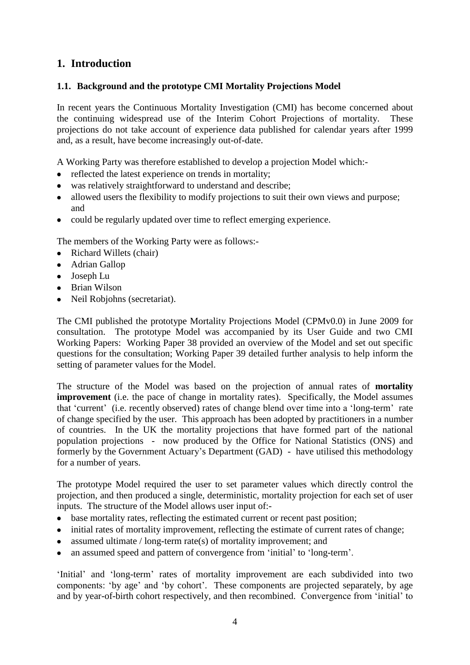## <span id="page-3-0"></span>**1. Introduction**

### <span id="page-3-1"></span>**1.1. Background and the prototype CMI Mortality Projections Model**

In recent years the Continuous Mortality Investigation (CMI) has become concerned about the continuing widespread use of the Interim Cohort Projections of mortality. These projections do not take account of experience data published for calendar years after 1999 and, as a result, have become increasingly out-of-date.

A Working Party was therefore established to develop a projection Model which:-

- reflected the latest experience on trends in mortality;
- was relatively straightforward to understand and describe;
- allowed users the flexibility to modify projections to suit their own views and purpose; and
- could be regularly updated over time to reflect emerging experience.

The members of the Working Party were as follows:-

- Richard Willets (chair)
- Adrian Gallop
- Joseph Lu
- Brian Wilson
- Neil Robjohns (secretariat).

The CMI published the prototype Mortality Projections Model (CPMv0.0) in June 2009 for consultation. The prototype Model was accompanied by its User Guide and two CMI Working Papers: Working Paper 38 provided an overview of the Model and set out specific questions for the consultation; Working Paper 39 detailed further analysis to help inform the setting of parameter values for the Model.

The structure of the Model was based on the projection of annual rates of **mortality improvement** (i.e. the pace of change in mortality rates). Specifically, the Model assumes that "current" (i.e. recently observed) rates of change blend over time into a "long-term" rate of change specified by the user. This approach has been adopted by practitioners in a number of countries. In the UK the mortality projections that have formed part of the national population projections - now produced by the Office for National Statistics (ONS) and formerly by the Government Actuary"s Department (GAD) - have utilised this methodology for a number of years.

The prototype Model required the user to set parameter values which directly control the projection, and then produced a single, deterministic, mortality projection for each set of user inputs. The structure of the Model allows user input of:-

- base mortality rates, reflecting the estimated current or recent past position;
- initial rates of mortality improvement, reflecting the estimate of current rates of change;
- assumed ultimate / long-term rate(s) of mortality improvement; and
- an assumed speed and pattern of convergence from "initial" to "long-term".  $\bullet$

'Initial' and 'long-term' rates of mortality improvement are each subdivided into two components: 'by age' and 'by cohort'. These components are projected separately, by age and by year-of-birth cohort respectively, and then recombined. Convergence from "initial" to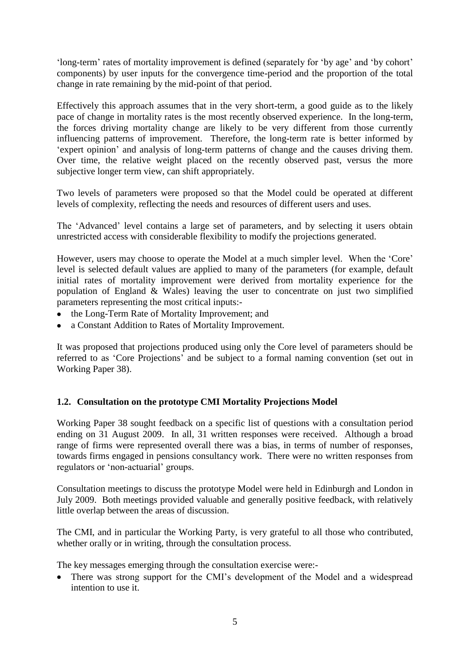"long-term" rates of mortality improvement is defined (separately for "by age" and "by cohort" components) by user inputs for the convergence time-period and the proportion of the total change in rate remaining by the mid-point of that period.

Effectively this approach assumes that in the very short-term, a good guide as to the likely pace of change in mortality rates is the most recently observed experience. In the long-term, the forces driving mortality change are likely to be very different from those currently influencing patterns of improvement. Therefore, the long-term rate is better informed by 'expert opinion' and analysis of long-term patterns of change and the causes driving them. Over time, the relative weight placed on the recently observed past, versus the more subjective longer term view, can shift appropriately.

Two levels of parameters were proposed so that the Model could be operated at different levels of complexity, reflecting the needs and resources of different users and uses.

The 'Advanced' level contains a large set of parameters, and by selecting it users obtain unrestricted access with considerable flexibility to modify the projections generated.

However, users may choose to operate the Model at a much simpler level. When the "Core" level is selected default values are applied to many of the parameters (for example, default initial rates of mortality improvement were derived from mortality experience for the population of England & Wales) leaving the user to concentrate on just two simplified parameters representing the most critical inputs:-

- the Long-Term Rate of Mortality Improvement; and
- a Constant Addition to Rates of Mortality Improvement.

It was proposed that projections produced using only the Core level of parameters should be referred to as "Core Projections" and be subject to a formal naming convention (set out in Working Paper 38).

#### <span id="page-4-0"></span>**1.2. Consultation on the prototype CMI Mortality Projections Model**

Working Paper 38 sought feedback on a specific list of questions with a consultation period ending on 31 August 2009. In all, 31 written responses were received. Although a broad range of firms were represented overall there was a bias, in terms of number of responses, towards firms engaged in pensions consultancy work. There were no written responses from regulators or 'non-actuarial' groups.

Consultation meetings to discuss the prototype Model were held in Edinburgh and London in July 2009. Both meetings provided valuable and generally positive feedback, with relatively little overlap between the areas of discussion.

The CMI, and in particular the Working Party, is very grateful to all those who contributed, whether orally or in writing, through the consultation process.

The key messages emerging through the consultation exercise were:-

• There was strong support for the CMI's development of the Model and a widespread intention to use it.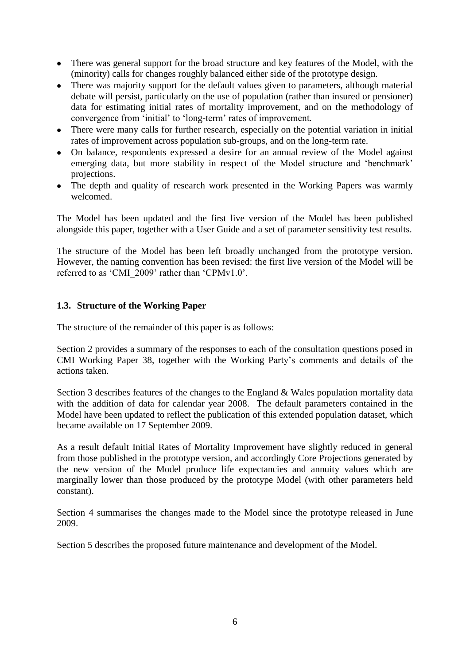- There was general support for the broad structure and key features of the Model, with the (minority) calls for changes roughly balanced either side of the prototype design.
- There was majority support for the default values given to parameters, although material debate will persist, particularly on the use of population (rather than insured or pensioner) data for estimating initial rates of mortality improvement, and on the methodology of convergence from "initial" to "long-term" rates of improvement.
- There were many calls for further research, especially on the potential variation in initial rates of improvement across population sub-groups, and on the long-term rate.
- On balance, respondents expressed a desire for an annual review of the Model against emerging data, but more stability in respect of the Model structure and 'benchmark' projections.
- The depth and quality of research work presented in the Working Papers was warmly welcomed.

The Model has been updated and the first live version of the Model has been published alongside this paper, together with a User Guide and a set of parameter sensitivity test results.

The structure of the Model has been left broadly unchanged from the prototype version. However, the naming convention has been revised: the first live version of the Model will be referred to as 'CMI\_2009' rather than 'CPMv1.0'.

#### <span id="page-5-0"></span>**1.3. Structure of the Working Paper**

The structure of the remainder of this paper is as follows:

Section 2 provides a summary of the responses to each of the consultation questions posed in CMI Working Paper 38, together with the Working Party"s comments and details of the actions taken.

Section 3 describes features of the changes to the England & Wales population mortality data with the addition of data for calendar year 2008. The default parameters contained in the Model have been updated to reflect the publication of this extended population dataset, which became available on 17 September 2009.

As a result default Initial Rates of Mortality Improvement have slightly reduced in general from those published in the prototype version, and accordingly Core Projections generated by the new version of the Model produce life expectancies and annuity values which are marginally lower than those produced by the prototype Model (with other parameters held constant).

Section 4 summarises the changes made to the Model since the prototype released in June 2009.

Section 5 describes the proposed future maintenance and development of the Model.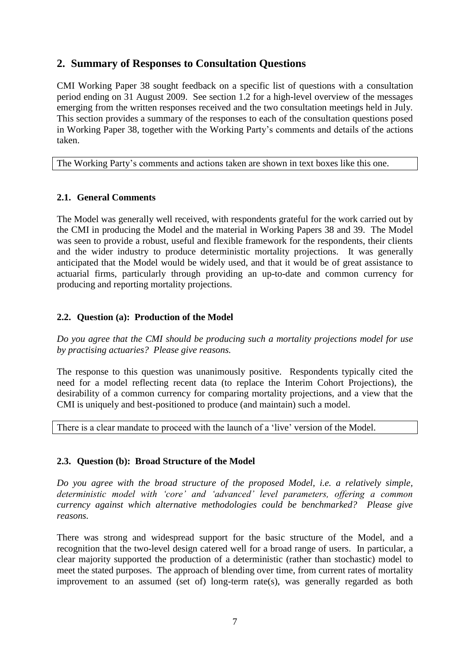## <span id="page-6-0"></span>**2. Summary of Responses to Consultation Questions**

CMI Working Paper 38 sought feedback on a specific list of questions with a consultation period ending on 31 August 2009. See section [1.2](#page-4-0) for a high-level overview of the messages emerging from the written responses received and the two consultation meetings held in July. This section provides a summary of the responses to each of the consultation questions posed in Working Paper 38, together with the Working Party"s comments and details of the actions taken.

The Working Party"s comments and actions taken are shown in text boxes like this one.

### <span id="page-6-1"></span>**2.1. General Comments**

The Model was generally well received, with respondents grateful for the work carried out by the CMI in producing the Model and the material in Working Papers 38 and 39. The Model was seen to provide a robust, useful and flexible framework for the respondents, their clients and the wider industry to produce deterministic mortality projections. It was generally anticipated that the Model would be widely used, and that it would be of great assistance to actuarial firms, particularly through providing an up-to-date and common currency for producing and reporting mortality projections.

### <span id="page-6-2"></span>**2.2. Question (a): Production of the Model**

*Do you agree that the CMI should be producing such a mortality projections model for use by practising actuaries? Please give reasons.*

The response to this question was unanimously positive. Respondents typically cited the need for a model reflecting recent data (to replace the Interim Cohort Projections), the desirability of a common currency for comparing mortality projections, and a view that the CMI is uniquely and best-positioned to produce (and maintain) such a model.

There is a clear mandate to proceed with the launch of a "live" version of the Model.

## <span id="page-6-3"></span>**2.3. Question (b): Broad Structure of the Model**

*Do you agree with the broad structure of the proposed Model, i.e. a relatively simple, deterministic model with 'core' and 'advanced' level parameters, offering a common currency against which alternative methodologies could be benchmarked? Please give reasons.*

There was strong and widespread support for the basic structure of the Model, and a recognition that the two-level design catered well for a broad range of users. In particular, a clear majority supported the production of a deterministic (rather than stochastic) model to meet the stated purposes. The approach of blending over time, from current rates of mortality improvement to an assumed (set of) long-term rate(s), was generally regarded as both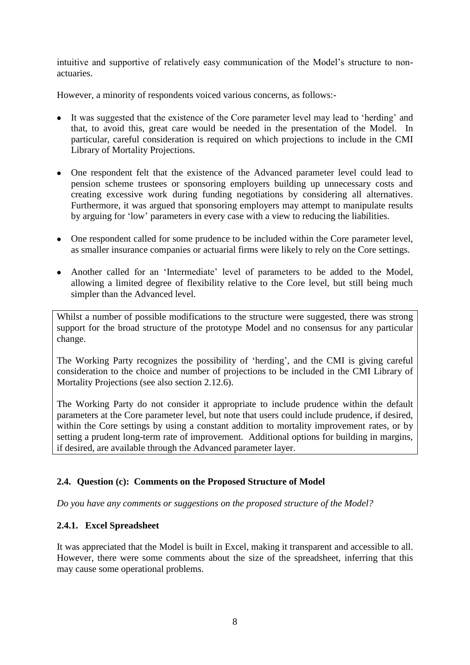intuitive and supportive of relatively easy communication of the Model"s structure to nonactuaries.

However, a minority of respondents voiced various concerns, as follows:-

- It was suggested that the existence of the Core parameter level may lead to "herding" and that, to avoid this, great care would be needed in the presentation of the Model. In particular, careful consideration is required on which projections to include in the CMI Library of Mortality Projections.
- One respondent felt that the existence of the Advanced parameter level could lead to pension scheme trustees or sponsoring employers building up unnecessary costs and creating excessive work during funding negotiations by considering all alternatives. Furthermore, it was argued that sponsoring employers may attempt to manipulate results by arguing for "low" parameters in every case with a view to reducing the liabilities.
- One respondent called for some prudence to be included within the Core parameter level, as smaller insurance companies or actuarial firms were likely to rely on the Core settings.
- Another called for an 'Intermediate' level of parameters to be added to the Model, allowing a limited degree of flexibility relative to the Core level, but still being much simpler than the Advanced level.

Whilst a number of possible modifications to the structure were suggested, there was strong support for the broad structure of the prototype Model and no consensus for any particular change.

The Working Party recognizes the possibility of "herding", and the CMI is giving careful consideration to the choice and number of projections to be included in the CMI Library of Mortality Projections (see also section [2.12.6\)](#page-22-0).

The Working Party do not consider it appropriate to include prudence within the default parameters at the Core parameter level, but note that users could include prudence, if desired, within the Core settings by using a constant addition to mortality improvement rates, or by setting a prudent long-term rate of improvement. Additional options for building in margins, if desired, are available through the Advanced parameter layer.

#### <span id="page-7-0"></span>**2.4. Question (c): Comments on the Proposed Structure of Model**

*Do you have any comments or suggestions on the proposed structure of the Model?*

#### **2.4.1. Excel Spreadsheet**

It was appreciated that the Model is built in Excel, making it transparent and accessible to all. However, there were some comments about the size of the spreadsheet, inferring that this may cause some operational problems.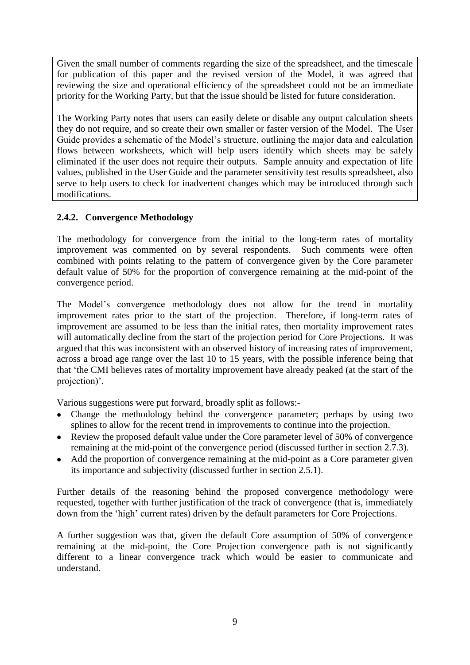Given the small number of comments regarding the size of the spreadsheet, and the timescale for publication of this paper and the revised version of the Model, it was agreed that reviewing the size and operational efficiency of the spreadsheet could not be an immediate priority for the Working Party, but that the issue should be listed for future consideration.

The Working Party notes that users can easily delete or disable any output calculation sheets they do not require, and so create their own smaller or faster version of the Model. The User Guide provides a schematic of the Model"s structure, outlining the major data and calculation flows between worksheets, which will help users identify which sheets may be safely eliminated if the user does not require their outputs. Sample annuity and expectation of life values, published in the User Guide and the parameter sensitivity test results spreadsheet, also serve to help users to check for inadvertent changes which may be introduced through such modifications.

### <span id="page-8-0"></span>**2.4.2. Convergence Methodology**

The methodology for convergence from the initial to the long-term rates of mortality improvement was commented on by several respondents. Such comments were often combined with points relating to the pattern of convergence given by the Core parameter default value of 50% for the proportion of convergence remaining at the mid-point of the convergence period.

The Model's convergence methodology does not allow for the trend in mortality improvement rates prior to the start of the projection. Therefore, if long-term rates of improvement are assumed to be less than the initial rates, then mortality improvement rates will automatically decline from the start of the projection period for Core Projections. It was argued that this was inconsistent with an observed history of increasing rates of improvement, across a broad age range over the last 10 to 15 years, with the possible inference being that that "the CMI believes rates of mortality improvement have already peaked (at the start of the projection)'.

Various suggestions were put forward, broadly split as follows:-

- Change the methodology behind the convergence parameter; perhaps by using two splines to allow for the recent trend in improvements to continue into the projection.
- Review the proposed default value under the Core parameter level of 50% of convergence remaining at the mid-point of the convergence period (discussed further in section [2.7.3\)](#page-15-0).
- Add the proportion of convergence remaining at the mid-point as a Core parameter given its importance and subjectivity (discussed further in section [2.5.1\)](#page-11-0).

Further details of the reasoning behind the proposed convergence methodology were requested, together with further justification of the track of convergence (that is, immediately down from the 'high' current rates) driven by the default parameters for Core Projections.

A further suggestion was that, given the default Core assumption of 50% of convergence remaining at the mid-point, the Core Projection convergence path is not significantly different to a linear convergence track which would be easier to communicate and understand.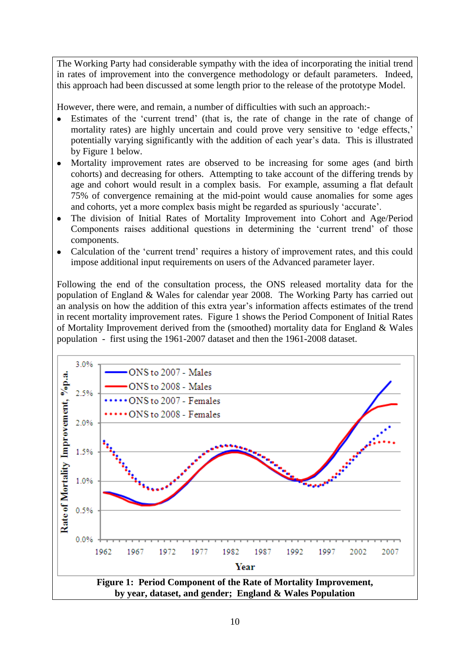The Working Party had considerable sympathy with the idea of incorporating the initial trend in rates of improvement into the convergence methodology or default parameters. Indeed, this approach had been discussed at some length prior to the release of the prototype Model.

However, there were, and remain, a number of difficulties with such an approach:-

- Estimates of the "current trend" (that is, the rate of change in the rate of change of mortality rates) are highly uncertain and could prove very sensitive to 'edge effects,' potentially varying significantly with the addition of each year"s data. This is illustrated by Figure 1 below.
- Mortality improvement rates are observed to be increasing for some ages (and birth  $\bullet$ cohorts) and decreasing for others. Attempting to take account of the differing trends by age and cohort would result in a complex basis. For example, assuming a flat default 75% of convergence remaining at the mid-point would cause anomalies for some ages and cohorts, yet a more complex basis might be regarded as spuriously "accurate".
- The division of Initial Rates of Mortality Improvement into Cohort and Age/Period  $\bullet$ Components raises additional questions in determining the "current trend" of those components.
- Calculation of the "current trend" requires a history of improvement rates, and this could  $\bullet$ impose additional input requirements on users of the Advanced parameter layer.

Following the end of the consultation process, the ONS released mortality data for the population of England & Wales for calendar year 2008. The Working Party has carried out an analysis on how the addition of this extra year's information affects estimates of the trend in recent mortality improvement rates. Figure 1 shows the Period Component of Initial Rates of Mortality Improvement derived from the (smoothed) mortality data for England & Wales population - first using the 1961-2007 dataset and then the 1961-2008 dataset.

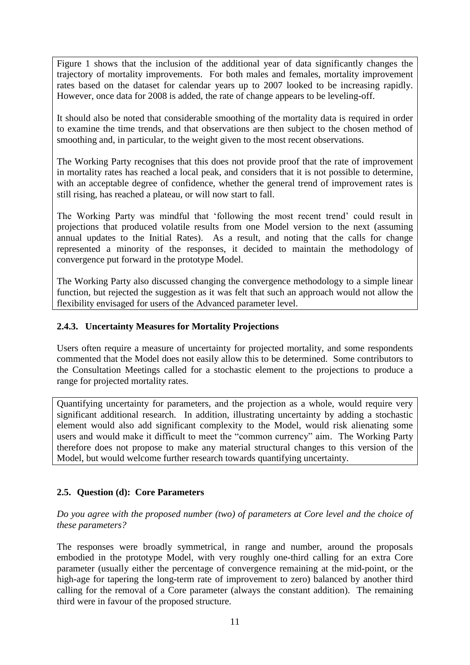Figure 1 shows that the inclusion of the additional year of data significantly changes the trajectory of mortality improvements. For both males and females, mortality improvement rates based on the dataset for calendar years up to 2007 looked to be increasing rapidly. However, once data for 2008 is added, the rate of change appears to be leveling-off.

It should also be noted that considerable smoothing of the mortality data is required in order to examine the time trends, and that observations are then subject to the chosen method of smoothing and, in particular, to the weight given to the most recent observations.

The Working Party recognises that this does not provide proof that the rate of improvement in mortality rates has reached a local peak, and considers that it is not possible to determine, with an acceptable degree of confidence, whether the general trend of improvement rates is still rising, has reached a plateau, or will now start to fall.

The Working Party was mindful that "following the most recent trend" could result in projections that produced volatile results from one Model version to the next (assuming annual updates to the Initial Rates). As a result, and noting that the calls for change represented a minority of the responses, it decided to maintain the methodology of convergence put forward in the prototype Model.

The Working Party also discussed changing the convergence methodology to a simple linear function, but rejected the suggestion as it was felt that such an approach would not allow the flexibility envisaged for users of the Advanced parameter level.

#### **2.4.3. Uncertainty Measures for Mortality Projections**

Users often require a measure of uncertainty for projected mortality, and some respondents commented that the Model does not easily allow this to be determined. Some contributors to the Consultation Meetings called for a stochastic element to the projections to produce a range for projected mortality rates.

Quantifying uncertainty for parameters, and the projection as a whole, would require very significant additional research. In addition, illustrating uncertainty by adding a stochastic element would also add significant complexity to the Model, would risk alienating some users and would make it difficult to meet the "common currency" aim. The Working Party therefore does not propose to make any material structural changes to this version of the Model, but would welcome further research towards quantifying uncertainty.

#### <span id="page-10-0"></span>**2.5. Question (d): Core Parameters**

*Do you agree with the proposed number (two) of parameters at Core level and the choice of these parameters?*

The responses were broadly symmetrical, in range and number, around the proposals embodied in the prototype Model, with very roughly one-third calling for an extra Core parameter (usually either the percentage of convergence remaining at the mid-point, or the high-age for tapering the long-term rate of improvement to zero) balanced by another third calling for the removal of a Core parameter (always the constant addition). The remaining third were in favour of the proposed structure.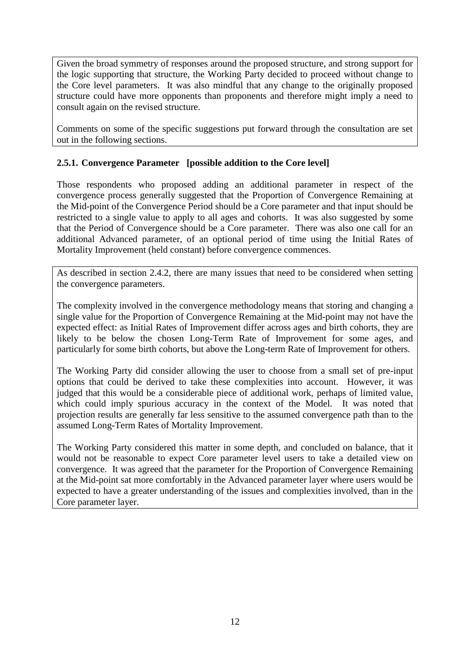Given the broad symmetry of responses around the proposed structure, and strong support for the logic supporting that structure, the Working Party decided to proceed without change to the Core level parameters. It was also mindful that any change to the originally proposed structure could have more opponents than proponents and therefore might imply a need to consult again on the revised structure.

Comments on some of the specific suggestions put forward through the consultation are set out in the following sections.

#### <span id="page-11-0"></span>**2.5.1. Convergence Parameter [possible addition to the Core level]**

Those respondents who proposed adding an additional parameter in respect of the convergence process generally suggested that the Proportion of Convergence Remaining at the Mid-point of the Convergence Period should be a Core parameter and that input should be restricted to a single value to apply to all ages and cohorts. It was also suggested by some that the Period of Convergence should be a Core parameter. There was also one call for an additional Advanced parameter, of an optional period of time using the Initial Rates of Mortality Improvement (held constant) before convergence commences.

As described in section [2.4.2,](#page-8-0) there are many issues that need to be considered when setting the convergence parameters.

The complexity involved in the convergence methodology means that storing and changing a single value for the Proportion of Convergence Remaining at the Mid-point may not have the expected effect: as Initial Rates of Improvement differ across ages and birth cohorts, they are likely to be below the chosen Long-Term Rate of Improvement for some ages, and particularly for some birth cohorts, but above the Long-term Rate of Improvement for others.

The Working Party did consider allowing the user to choose from a small set of pre-input options that could be derived to take these complexities into account. However, it was judged that this would be a considerable piece of additional work, perhaps of limited value, which could imply spurious accuracy in the context of the Model. It was noted that projection results are generally far less sensitive to the assumed convergence path than to the assumed Long-Term Rates of Mortality Improvement.

The Working Party considered this matter in some depth, and concluded on balance, that it would not be reasonable to expect Core parameter level users to take a detailed view on convergence. It was agreed that the parameter for the Proportion of Convergence Remaining at the Mid-point sat more comfortably in the Advanced parameter layer where users would be expected to have a greater understanding of the issues and complexities involved, than in the Core parameter layer.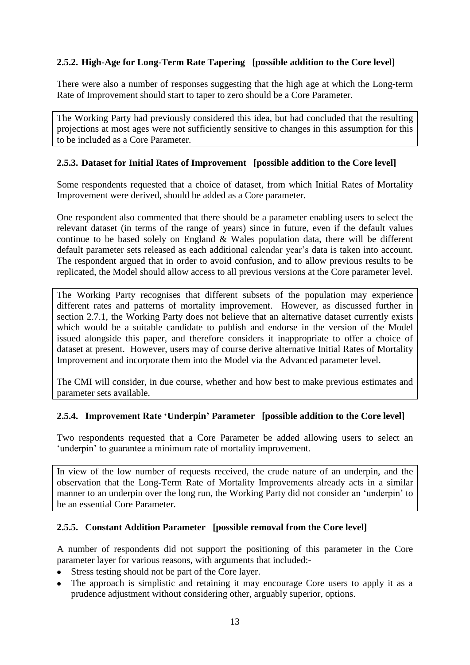## **2.5.2. High-Age for Long-Term Rate Tapering [possible addition to the Core level]**

There were also a number of responses suggesting that the high age at which the Long-term Rate of Improvement should start to taper to zero should be a Core Parameter.

The Working Party had previously considered this idea, but had concluded that the resulting projections at most ages were not sufficiently sensitive to changes in this assumption for this to be included as a Core Parameter.

#### **2.5.3. Dataset for Initial Rates of Improvement [possible addition to the Core level]**

Some respondents requested that a choice of dataset, from which Initial Rates of Mortality Improvement were derived, should be added as a Core parameter.

One respondent also commented that there should be a parameter enabling users to select the relevant dataset (in terms of the range of years) since in future, even if the default values continue to be based solely on England & Wales population data, there will be different default parameter sets released as each additional calendar year's data is taken into account. The respondent argued that in order to avoid confusion, and to allow previous results to be replicated, the Model should allow access to all previous versions at the Core parameter level.

The Working Party recognises that different subsets of the population may experience different rates and patterns of mortality improvement. However, as discussed further in section [2.7.1,](#page-13-2) the Working Party does not believe that an alternative dataset currently exists which would be a suitable candidate to publish and endorse in the version of the Model issued alongside this paper, and therefore considers it inappropriate to offer a choice of dataset at present. However, users may of course derive alternative Initial Rates of Mortality Improvement and incorporate them into the Model via the Advanced parameter level.

The CMI will consider, in due course, whether and how best to make previous estimates and parameter sets available.

#### **2.5.4. Improvement Rate 'Underpin' Parameter [possible addition to the Core level]**

Two respondents requested that a Core Parameter be added allowing users to select an 'underpin' to guarantee a minimum rate of mortality improvement.

In view of the low number of requests received, the crude nature of an underpin, and the observation that the Long-Term Rate of Mortality Improvements already acts in a similar manner to an underpin over the long run, the Working Party did not consider an "underpin" to be an essential Core Parameter.

#### **2.5.5. Constant Addition Parameter [possible removal from the Core level]**

A number of respondents did not support the positioning of this parameter in the Core parameter layer for various reasons, with arguments that included:-

- Stress testing should not be part of the Core layer.
- The approach is simplistic and retaining it may encourage Core users to apply it as a prudence adjustment without considering other, arguably superior, options.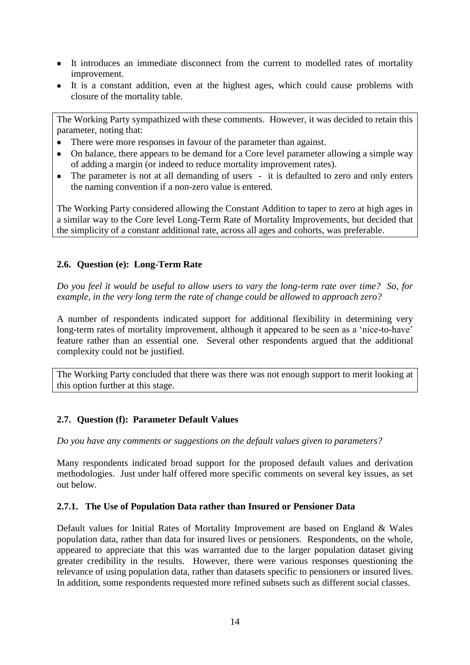- It introduces an immediate disconnect from the current to modelled rates of mortality improvement.
- It is a constant addition, even at the highest ages, which could cause problems with closure of the mortality table.

The Working Party sympathized with these comments. However, it was decided to retain this parameter, noting that:

- There were more responses in favour of the parameter than against.
- On balance, there appears to be demand for a Core level parameter allowing a simple way of adding a margin (or indeed to reduce mortality improvement rates).
- The parameter is not at all demanding of users it is defaulted to zero and only enters the naming convention if a non-zero value is entered.

The Working Party considered allowing the Constant Addition to taper to zero at high ages in a similar way to the Core level Long-Term Rate of Mortality Improvements, but decided that the simplicity of a constant additional rate, across all ages and cohorts, was preferable.

### <span id="page-13-0"></span>**2.6. Question (e): Long-Term Rate**

*Do you feel it would be useful to allow users to vary the long-term rate over time? So, for example, in the very long term the rate of change could be allowed to approach zero?*

A number of respondents indicated support for additional flexibility in determining very long-term rates of mortality improvement, although it appeared to be seen as a 'nice-to-have' feature rather than an essential one. Several other respondents argued that the additional complexity could not be justified.

The Working Party concluded that there was there was not enough support to merit looking at this option further at this stage.

#### <span id="page-13-1"></span>**2.7. Question (f): Parameter Default Values**

*Do you have any comments or suggestions on the default values given to parameters?*

Many respondents indicated broad support for the proposed default values and derivation methodologies. Just under half offered more specific comments on several key issues, as set out below.

#### <span id="page-13-2"></span>**2.7.1. The Use of Population Data rather than Insured or Pensioner Data**

Default values for Initial Rates of Mortality Improvement are based on England & Wales population data, rather than data for insured lives or pensioners. Respondents, on the whole, appeared to appreciate that this was warranted due to the larger population dataset giving greater credibility in the results. However, there were various responses questioning the relevance of using population data, rather than datasets specific to pensioners or insured lives. In addition, some respondents requested more refined subsets such as different social classes.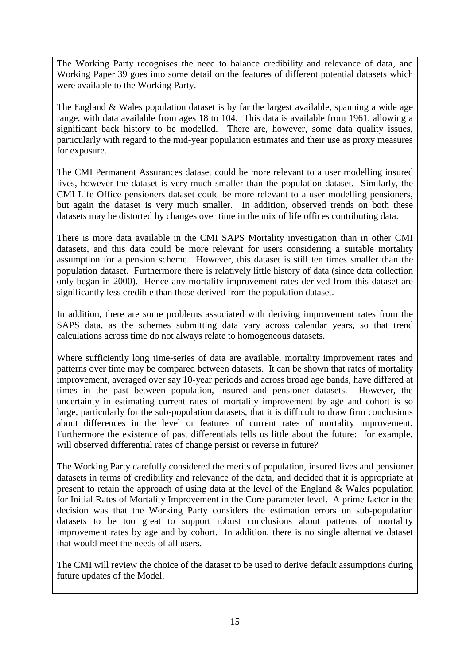The Working Party recognises the need to balance credibility and relevance of data, and Working Paper 39 goes into some detail on the features of different potential datasets which were available to the Working Party.

The England & Wales population dataset is by far the largest available, spanning a wide age range, with data available from ages 18 to 104. This data is available from 1961, allowing a significant back history to be modelled. There are, however, some data quality issues, particularly with regard to the mid-year population estimates and their use as proxy measures for exposure.

The CMI Permanent Assurances dataset could be more relevant to a user modelling insured lives, however the dataset is very much smaller than the population dataset. Similarly, the CMI Life Office pensioners dataset could be more relevant to a user modelling pensioners, but again the dataset is very much smaller. In addition, observed trends on both these datasets may be distorted by changes over time in the mix of life offices contributing data.

There is more data available in the CMI SAPS Mortality investigation than in other CMI datasets, and this data could be more relevant for users considering a suitable mortality assumption for a pension scheme. However, this dataset is still ten times smaller than the population dataset. Furthermore there is relatively little history of data (since data collection only began in 2000). Hence any mortality improvement rates derived from this dataset are significantly less credible than those derived from the population dataset.

In addition, there are some problems associated with deriving improvement rates from the SAPS data, as the schemes submitting data vary across calendar years, so that trend calculations across time do not always relate to homogeneous datasets.

Where sufficiently long time-series of data are available, mortality improvement rates and patterns over time may be compared between datasets. It can be shown that rates of mortality improvement, averaged over say 10-year periods and across broad age bands, have differed at times in the past between population, insured and pensioner datasets. However, the uncertainty in estimating current rates of mortality improvement by age and cohort is so large, particularly for the sub-population datasets, that it is difficult to draw firm conclusions about differences in the level or features of current rates of mortality improvement. Furthermore the existence of past differentials tells us little about the future: for example, will observed differential rates of change persist or reverse in future?

The Working Party carefully considered the merits of population, insured lives and pensioner datasets in terms of credibility and relevance of the data, and decided that it is appropriate at present to retain the approach of using data at the level of the England & Wales population for Initial Rates of Mortality Improvement in the Core parameter level. A prime factor in the decision was that the Working Party considers the estimation errors on sub-population datasets to be too great to support robust conclusions about patterns of mortality improvement rates by age and by cohort. In addition, there is no single alternative dataset that would meet the needs of all users.

The CMI will review the choice of the dataset to be used to derive default assumptions during future updates of the Model.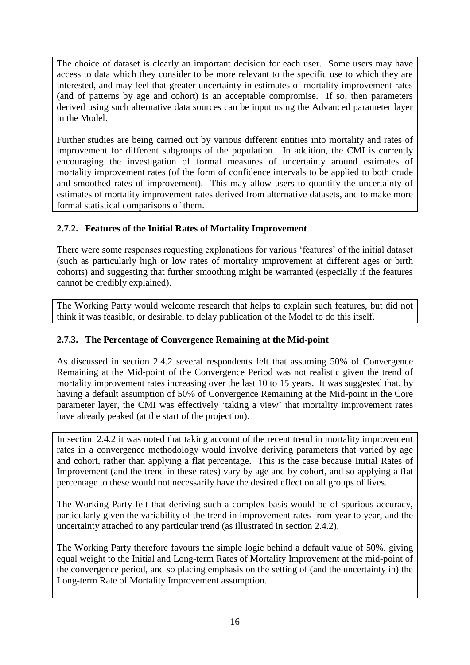The choice of dataset is clearly an important decision for each user. Some users may have access to data which they consider to be more relevant to the specific use to which they are interested, and may feel that greater uncertainty in estimates of mortality improvement rates (and of patterns by age and cohort) is an acceptable compromise. If so, then parameters derived using such alternative data sources can be input using the Advanced parameter layer in the Model.

Further studies are being carried out by various different entities into mortality and rates of improvement for different subgroups of the population. In addition, the CMI is currently encouraging the investigation of formal measures of uncertainty around estimates of mortality improvement rates (of the form of confidence intervals to be applied to both crude and smoothed rates of improvement). This may allow users to quantify the uncertainty of estimates of mortality improvement rates derived from alternative datasets, and to make more formal statistical comparisons of them.

## **2.7.2. Features of the Initial Rates of Mortality Improvement**

There were some responses requesting explanations for various "features" of the initial dataset (such as particularly high or low rates of mortality improvement at different ages or birth cohorts) and suggesting that further smoothing might be warranted (especially if the features cannot be credibly explained).

The Working Party would welcome research that helps to explain such features, but did not think it was feasible, or desirable, to delay publication of the Model to do this itself.

## <span id="page-15-0"></span>**2.7.3. The Percentage of Convergence Remaining at the Mid-point**

As discussed in section [2.4.2](#page-8-0) several respondents felt that assuming 50% of Convergence Remaining at the Mid-point of the Convergence Period was not realistic given the trend of mortality improvement rates increasing over the last 10 to 15 years. It was suggested that, by having a default assumption of 50% of Convergence Remaining at the Mid-point in the Core parameter layer, the CMI was effectively "taking a view" that mortality improvement rates have already peaked (at the start of the projection).

In section [2.4.2](#page-8-0) it was noted that taking account of the recent trend in mortality improvement rates in a convergence methodology would involve deriving parameters that varied by age and cohort, rather than applying a flat percentage. This is the case because Initial Rates of Improvement (and the trend in these rates) vary by age and by cohort, and so applying a flat percentage to these would not necessarily have the desired effect on all groups of lives.

The Working Party felt that deriving such a complex basis would be of spurious accuracy, particularly given the variability of the trend in improvement rates from year to year, and the uncertainty attached to any particular trend (as illustrated in section [2.4.2\)](#page-8-0).

The Working Party therefore favours the simple logic behind a default value of 50%, giving equal weight to the Initial and Long-term Rates of Mortality Improvement at the mid-point of the convergence period, and so placing emphasis on the setting of (and the uncertainty in) the Long-term Rate of Mortality Improvement assumption.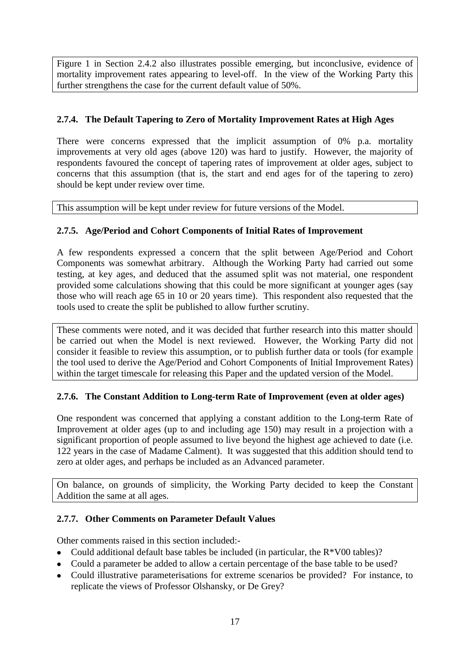Figure 1 in Section [2.4.2](#page-8-0) also illustrates possible emerging, but inconclusive, evidence of mortality improvement rates appearing to level-off. In the view of the Working Party this further strengthens the case for the current default value of 50%.

## **2.7.4. The Default Tapering to Zero of Mortality Improvement Rates at High Ages**

There were concerns expressed that the implicit assumption of 0% p.a. mortality improvements at very old ages (above 120) was hard to justify. However, the majority of respondents favoured the concept of tapering rates of improvement at older ages, subject to concerns that this assumption (that is, the start and end ages for of the tapering to zero) should be kept under review over time.

This assumption will be kept under review for future versions of the Model.

## <span id="page-16-0"></span>**2.7.5. Age/Period and Cohort Components of Initial Rates of Improvement**

A few respondents expressed a concern that the split between Age/Period and Cohort Components was somewhat arbitrary. Although the Working Party had carried out some testing, at key ages, and deduced that the assumed split was not material, one respondent provided some calculations showing that this could be more significant at younger ages (say those who will reach age 65 in 10 or 20 years time). This respondent also requested that the tools used to create the split be published to allow further scrutiny.

These comments were noted, and it was decided that further research into this matter should be carried out when the Model is next reviewed. However, the Working Party did not consider it feasible to review this assumption, or to publish further data or tools (for example the tool used to derive the Age/Period and Cohort Components of Initial Improvement Rates) within the target timescale for releasing this Paper and the updated version of the Model.

## **2.7.6. The Constant Addition to Long-term Rate of Improvement (even at older ages)**

One respondent was concerned that applying a constant addition to the Long-term Rate of Improvement at older ages (up to and including age 150) may result in a projection with a significant proportion of people assumed to live beyond the highest age achieved to date (i.e. 122 years in the case of Madame Calment). It was suggested that this addition should tend to zero at older ages, and perhaps be included as an Advanced parameter.

On balance, on grounds of simplicity, the Working Party decided to keep the Constant Addition the same at all ages.

## **2.7.7. Other Comments on Parameter Default Values**

Other comments raised in this section included:-

- Could additional default base tables be included (in particular, the  $R*V00$  tables)?
- Could a parameter be added to allow a certain percentage of the base table to be used?
- Could illustrative parameterisations for extreme scenarios be provided? For instance, to replicate the views of Professor Olshansky, or De Grey?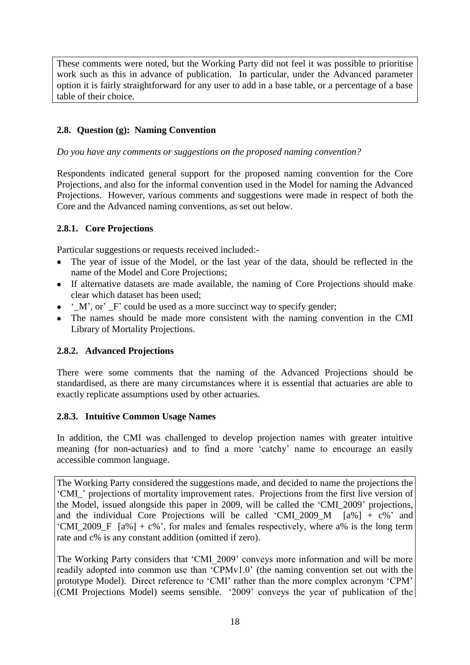These comments were noted, but the Working Party did not feel it was possible to prioritise work such as this in advance of publication. In particular, under the Advanced parameter option it is fairly straightforward for any user to add in a base table, or a percentage of a base table of their choice.

### <span id="page-17-0"></span>**2.8. Question (g): Naming Convention**

*Do you have any comments or suggestions on the proposed naming convention?*

Respondents indicated general support for the proposed naming convention for the Core Projections, and also for the informal convention used in the Model for naming the Advanced Projections. However, various comments and suggestions were made in respect of both the Core and the Advanced naming conventions, as set out below.

#### **2.8.1. Core Projections**

Particular suggestions or requests received included:-

- The year of issue of the Model, or the last year of the data, should be reflected in the name of the Model and Core Projections;
- If alternative datasets are made available, the naming of Core Projections should make clear which dataset has been used;
- $\bullet$   $\Delta M$ , or  $\Delta F$  could be used as a more succinct way to specify gender;
- The names should be made more consistent with the naming convention in the CMI Library of Mortality Projections.

#### **2.8.2. Advanced Projections**

There were some comments that the naming of the Advanced Projections should be standardised, as there are many circumstances where it is essential that actuaries are able to exactly replicate assumptions used by other actuaries.

#### **2.8.3. Intuitive Common Usage Names**

In addition, the CMI was challenged to develop projection names with greater intuitive meaning (for non-actuaries) and to find a more "catchy" name to encourage an easily accessible common language.

The Working Party considered the suggestions made, and decided to name the projections the "CMI\_" projections of mortality improvement rates. Projections from the first live version of the Model, issued alongside this paper in 2009, will be called the "CMI\_2009" projections, and the individual Core Projections will be called 'CMI 2009 M  $[a\%] + c\%$ ' and "CMI\_2009\_F  $[a\%] + c\%$ ", for males and females respectively, where a% is the long term rate and c% is any constant addition (omitted if zero).

The Working Party considers that 'CMI\_2009' conveys more information and will be more readily adopted into common use than "CPMv1.0" (the naming convention set out with the prototype Model). Direct reference to "CMI" rather than the more complex acronym "CPM" (CMI Projections Model) seems sensible. "2009" conveys the year of publication of the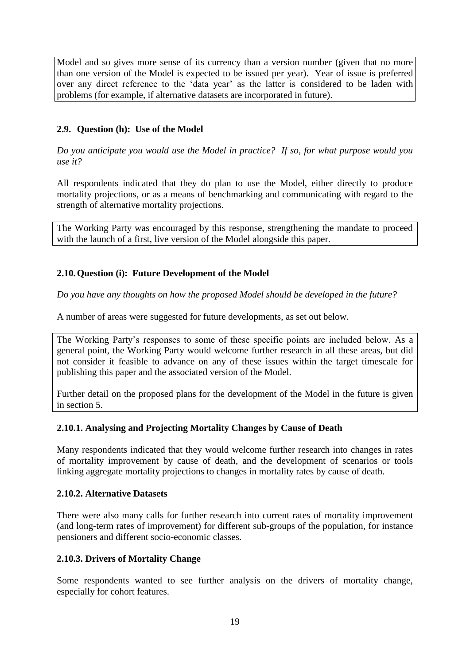Model and so gives more sense of its currency than a version number (given that no more than one version of the Model is expected to be issued per year). Year of issue is preferred over any direct reference to the "data year" as the latter is considered to be laden with problems (for example, if alternative datasets are incorporated in future).

## <span id="page-18-0"></span>**2.9. Question (h): Use of the Model**

*Do you anticipate you would use the Model in practice? If so, for what purpose would you use it?*

All respondents indicated that they do plan to use the Model, either directly to produce mortality projections, or as a means of benchmarking and communicating with regard to the strength of alternative mortality projections.

The Working Party was encouraged by this response, strengthening the mandate to proceed with the launch of a first, live version of the Model alongside this paper.

#### <span id="page-18-1"></span>**2.10.Question (i): Future Development of the Model**

*Do you have any thoughts on how the proposed Model should be developed in the future?*

A number of areas were suggested for future developments, as set out below.

The Working Party's responses to some of these specific points are included below. As a general point, the Working Party would welcome further research in all these areas, but did not consider it feasible to advance on any of these issues within the target timescale for publishing this paper and the associated version of the Model.

Further detail on the proposed plans for the development of the Model in the future is given in section 5.

#### **2.10.1. Analysing and Projecting Mortality Changes by Cause of Death**

Many respondents indicated that they would welcome further research into changes in rates of mortality improvement by cause of death, and the development of scenarios or tools linking aggregate mortality projections to changes in mortality rates by cause of death.

#### **2.10.2. Alternative Datasets**

There were also many calls for further research into current rates of mortality improvement (and long-term rates of improvement) for different sub-groups of the population, for instance pensioners and different socio-economic classes.

#### **2.10.3. Drivers of Mortality Change**

Some respondents wanted to see further analysis on the drivers of mortality change, especially for cohort features.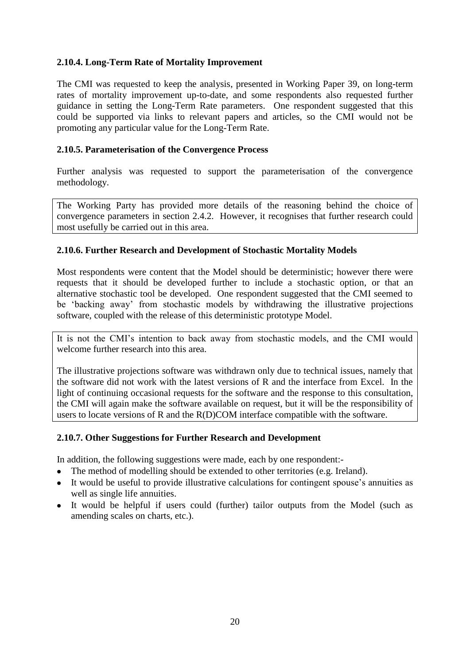#### **2.10.4. Long-Term Rate of Mortality Improvement**

The CMI was requested to keep the analysis, presented in Working Paper 39, on long-term rates of mortality improvement up-to-date, and some respondents also requested further guidance in setting the Long-Term Rate parameters. One respondent suggested that this could be supported via links to relevant papers and articles, so the CMI would not be promoting any particular value for the Long-Term Rate.

#### **2.10.5. Parameterisation of the Convergence Process**

Further analysis was requested to support the parameterisation of the convergence methodology.

The Working Party has provided more details of the reasoning behind the choice of convergence parameters in section [2.4.2.](#page-8-0) However, it recognises that further research could most usefully be carried out in this area.

#### **2.10.6. Further Research and Development of Stochastic Mortality Models**

Most respondents were content that the Model should be deterministic; however there were requests that it should be developed further to include a stochastic option, or that an alternative stochastic tool be developed. One respondent suggested that the CMI seemed to be "backing away" from stochastic models by withdrawing the illustrative projections software, coupled with the release of this deterministic prototype Model.

It is not the CMI"s intention to back away from stochastic models, and the CMI would welcome further research into this area.

The illustrative projections software was withdrawn only due to technical issues, namely that the software did not work with the latest versions of R and the interface from Excel. In the light of continuing occasional requests for the software and the response to this consultation, the CMI will again make the software available on request, but it will be the responsibility of users to locate versions of R and the R(D)COM interface compatible with the software.

#### **2.10.7. Other Suggestions for Further Research and Development**

In addition, the following suggestions were made, each by one respondent:-

- The method of modelling should be extended to other territories (e.g. Ireland).
- It would be useful to provide illustrative calculations for contingent spouse"s annuities as well as single life annuities.
- <span id="page-19-0"></span>It would be helpful if users could (further) tailor outputs from the Model (such as amending scales on charts, etc.).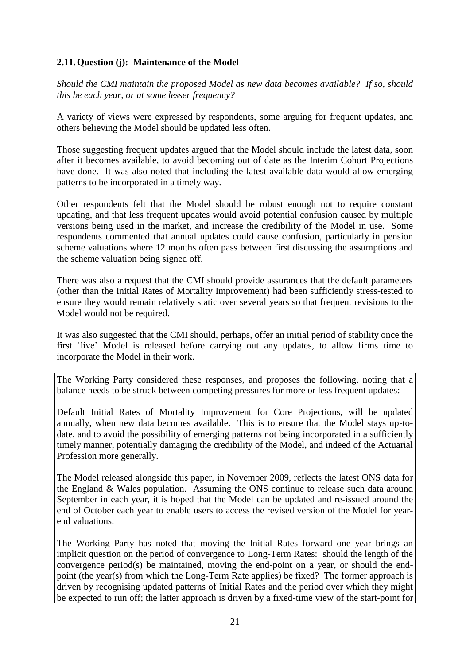### <span id="page-20-0"></span>**2.11.Question (j): Maintenance of the Model**

*Should the CMI maintain the proposed Model as new data becomes available? If so, should this be each year, or at some lesser frequency?*

A variety of views were expressed by respondents, some arguing for frequent updates, and others believing the Model should be updated less often.

Those suggesting frequent updates argued that the Model should include the latest data, soon after it becomes available, to avoid becoming out of date as the Interim Cohort Projections have done. It was also noted that including the latest available data would allow emerging patterns to be incorporated in a timely way.

Other respondents felt that the Model should be robust enough not to require constant updating, and that less frequent updates would avoid potential confusion caused by multiple versions being used in the market, and increase the credibility of the Model in use. Some respondents commented that annual updates could cause confusion, particularly in pension scheme valuations where 12 months often pass between first discussing the assumptions and the scheme valuation being signed off.

There was also a request that the CMI should provide assurances that the default parameters (other than the Initial Rates of Mortality Improvement) had been sufficiently stress-tested to ensure they would remain relatively static over several years so that frequent revisions to the Model would not be required.

It was also suggested that the CMI should, perhaps, offer an initial period of stability once the first "live" Model is released before carrying out any updates, to allow firms time to incorporate the Model in their work.

The Working Party considered these responses, and proposes the following, noting that a balance needs to be struck between competing pressures for more or less frequent updates:-

Default Initial Rates of Mortality Improvement for Core Projections, will be updated annually, when new data becomes available. This is to ensure that the Model stays up-todate, and to avoid the possibility of emerging patterns not being incorporated in a sufficiently timely manner, potentially damaging the credibility of the Model, and indeed of the Actuarial Profession more generally.

The Model released alongside this paper, in November 2009, reflects the latest ONS data for the England & Wales population. Assuming the ONS continue to release such data around September in each year, it is hoped that the Model can be updated and re-issued around the end of October each year to enable users to access the revised version of the Model for yearend valuations.

The Working Party has noted that moving the Initial Rates forward one year brings an implicit question on the period of convergence to Long-Term Rates: should the length of the convergence period(s) be maintained, moving the end-point on a year, or should the endpoint (the year(s) from which the Long-Term Rate applies) be fixed? The former approach is driven by recognising updated patterns of Initial Rates and the period over which they might be expected to run off; the latter approach is driven by a fixed-time view of the start-point for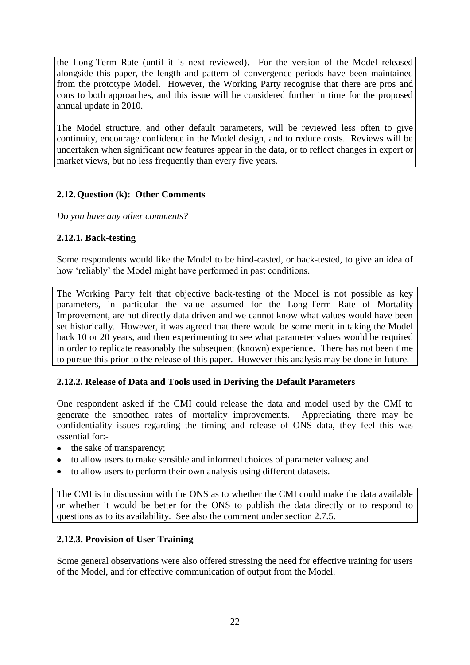the Long-Term Rate (until it is next reviewed). For the version of the Model released alongside this paper, the length and pattern of convergence periods have been maintained from the prototype Model. However, the Working Party recognise that there are pros and cons to both approaches, and this issue will be considered further in time for the proposed annual update in 2010.

The Model structure, and other default parameters, will be reviewed less often to give continuity, encourage confidence in the Model design, and to reduce costs. Reviews will be undertaken when significant new features appear in the data, or to reflect changes in expert or market views, but no less frequently than every five years.

### <span id="page-21-0"></span>**2.12.Question (k): Other Comments**

*Do you have any other comments?*

### **2.12.1. Back-testing**

Some respondents would like the Model to be hind-casted, or back-tested, to give an idea of how "reliably" the Model might have performed in past conditions.

The Working Party felt that objective back-testing of the Model is not possible as key parameters, in particular the value assumed for the Long-Term Rate of Mortality Improvement, are not directly data driven and we cannot know what values would have been set historically. However, it was agreed that there would be some merit in taking the Model back 10 or 20 years, and then experimenting to see what parameter values would be required in order to replicate reasonably the subsequent (known) experience. There has not been time to pursue this prior to the release of this paper. However this analysis may be done in future.

#### **2.12.2. Release of Data and Tools used in Deriving the Default Parameters**

One respondent asked if the CMI could release the data and model used by the CMI to generate the smoothed rates of mortality improvements. Appreciating there may be confidentiality issues regarding the timing and release of ONS data, they feel this was essential for:-

- the sake of transparency;
- to allow users to make sensible and informed choices of parameter values; and
- to allow users to perform their own analysis using different datasets.

The CMI is in discussion with the ONS as to whether the CMI could make the data available or whether it would be better for the ONS to publish the data directly or to respond to questions as to its availability. See also the comment under section [2.7.5.](#page-16-0)

#### **2.12.3. Provision of User Training**

Some general observations were also offered stressing the need for effective training for users of the Model, and for effective communication of output from the Model.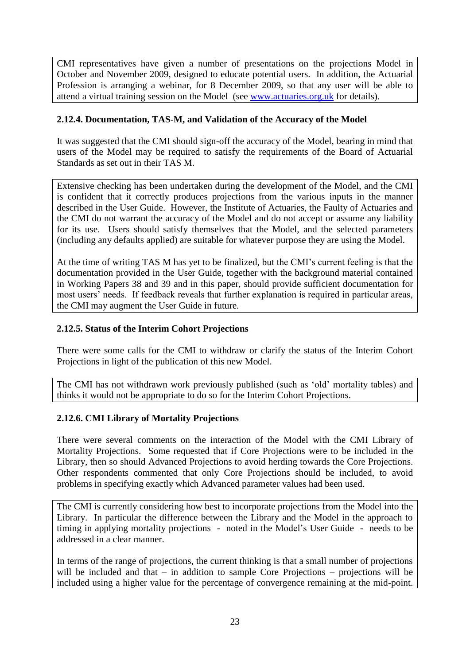CMI representatives have given a number of presentations on the projections Model in October and November 2009, designed to educate potential users. In addition, the Actuarial Profession is arranging a webinar, for 8 December 2009, so that any user will be able to attend a virtual training session on the Model (see [www.actuaries.org.uk](http://www.actuaries.org.uk/) for details).

### **2.12.4. Documentation, TAS-M, and Validation of the Accuracy of the Model**

It was suggested that the CMI should sign-off the accuracy of the Model, bearing in mind that users of the Model may be required to satisfy the requirements of the Board of Actuarial Standards as set out in their TAS M.

Extensive checking has been undertaken during the development of the Model, and the CMI is confident that it correctly produces projections from the various inputs in the manner described in the User Guide. However, the Institute of Actuaries, the Faulty of Actuaries and the CMI do not warrant the accuracy of the Model and do not accept or assume any liability for its use. Users should satisfy themselves that the Model, and the selected parameters (including any defaults applied) are suitable for whatever purpose they are using the Model.

At the time of writing TAS M has yet to be finalized, but the CMI"s current feeling is that the documentation provided in the User Guide, together with the background material contained in Working Papers 38 and 39 and in this paper, should provide sufficient documentation for most users' needs. If feedback reveals that further explanation is required in particular areas, the CMI may augment the User Guide in future.

#### **2.12.5. Status of the Interim Cohort Projections**

There were some calls for the CMI to withdraw or clarify the status of the Interim Cohort Projections in light of the publication of this new Model.

The CMI has not withdrawn work previously published (such as "old" mortality tables) and thinks it would not be appropriate to do so for the Interim Cohort Projections.

## <span id="page-22-0"></span>**2.12.6. CMI Library of Mortality Projections**

There were several comments on the interaction of the Model with the CMI Library of Mortality Projections. Some requested that if Core Projections were to be included in the Library, then so should Advanced Projections to avoid herding towards the Core Projections. Other respondents commented that only Core Projections should be included, to avoid problems in specifying exactly which Advanced parameter values had been used.

The CMI is currently considering how best to incorporate projections from the Model into the Library. In particular the difference between the Library and the Model in the approach to timing in applying mortality projections - noted in the Model"s User Guide - needs to be addressed in a clear manner.

In terms of the range of projections, the current thinking is that a small number of projections will be included and that – in addition to sample Core Projections – projections will be included using a higher value for the percentage of convergence remaining at the mid-point.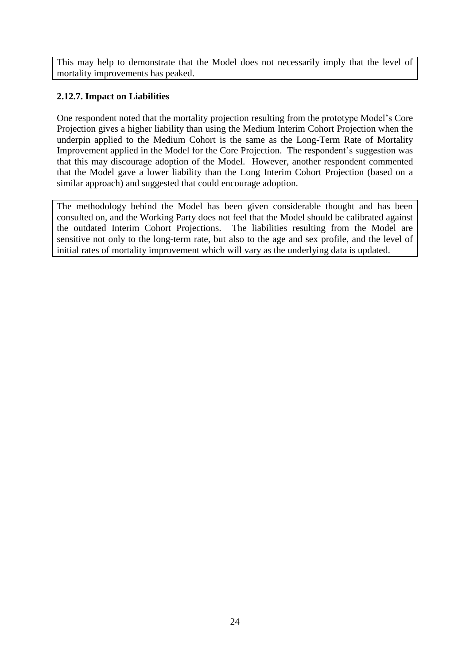This may help to demonstrate that the Model does not necessarily imply that the level of mortality improvements has peaked.

### **2.12.7. Impact on Liabilities**

One respondent noted that the mortality projection resulting from the prototype Model"s Core Projection gives a higher liability than using the Medium Interim Cohort Projection when the underpin applied to the Medium Cohort is the same as the Long-Term Rate of Mortality Improvement applied in the Model for the Core Projection. The respondent's suggestion was that this may discourage adoption of the Model. However, another respondent commented that the Model gave a lower liability than the Long Interim Cohort Projection (based on a similar approach) and suggested that could encourage adoption.

The methodology behind the Model has been given considerable thought and has been consulted on, and the Working Party does not feel that the Model should be calibrated against the outdated Interim Cohort Projections. The liabilities resulting from the Model are sensitive not only to the long-term rate, but also to the age and sex profile, and the level of initial rates of mortality improvement which will vary as the underlying data is updated.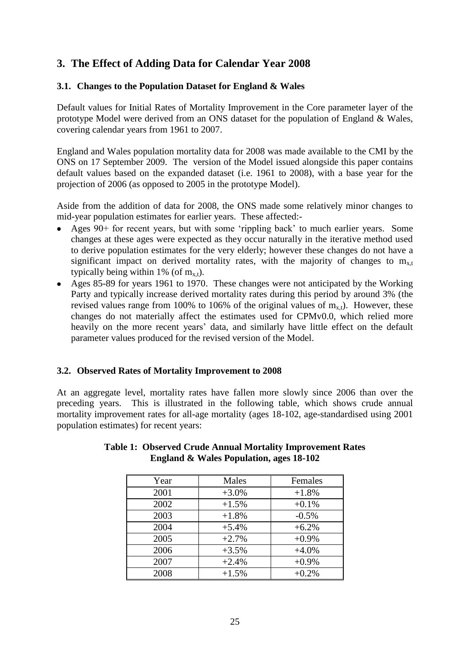## <span id="page-24-0"></span>**3. The Effect of Adding Data for Calendar Year 2008**

#### <span id="page-24-1"></span>**3.1. Changes to the Population Dataset for England & Wales**

Default values for Initial Rates of Mortality Improvement in the Core parameter layer of the prototype Model were derived from an ONS dataset for the population of England & Wales, covering calendar years from 1961 to 2007.

England and Wales population mortality data for 2008 was made available to the CMI by the ONS on 17 September 2009. The version of the Model issued alongside this paper contains default values based on the expanded dataset (i.e. 1961 to 2008), with a base year for the projection of 2006 (as opposed to 2005 in the prototype Model).

Aside from the addition of data for 2008, the ONS made some relatively minor changes to mid-year population estimates for earlier years. These affected:-

- Ages 90+ for recent years, but with some 'rippling back' to much earlier years. Some changes at these ages were expected as they occur naturally in the iterative method used to derive population estimates for the very elderly; however these changes do not have a significant impact on derived mortality rates, with the majority of changes to  $m_{x,t}$ typically being within 1% (of  $m_{x,t}$ ).
- Ages 85-89 for years 1961 to 1970. These changes were not anticipated by the Working Party and typically increase derived mortality rates during this period by around 3% (the revised values range from 100% to 106% of the original values of  $m_{x,t}$ ). However, these changes do not materially affect the estimates used for CPMv0.0, which relied more heavily on the more recent years' data, and similarly have little effect on the default parameter values produced for the revised version of the Model.

#### <span id="page-24-2"></span>**3.2. Observed Rates of Mortality Improvement to 2008**

At an aggregate level, mortality rates have fallen more slowly since 2006 than over the preceding years. This is illustrated in the following table, which shows crude annual mortality improvement rates for all-age mortality (ages 18-102, age-standardised using 2001 population estimates) for recent years:

| Year | Males   | Females |
|------|---------|---------|
| 2001 | $+3.0%$ | $+1.8%$ |
| 2002 | $+1.5%$ | $+0.1%$ |
| 2003 | $+1.8%$ | $-0.5%$ |
| 2004 | $+5.4%$ | $+6.2%$ |
| 2005 | $+2.7%$ | $+0.9%$ |
| 2006 | $+3.5%$ | $+4.0%$ |
| 2007 | $+2.4%$ | $+0.9%$ |
| 2008 | $+1.5%$ | $+0.2%$ |

#### **Table 1: Observed Crude Annual Mortality Improvement Rates England & Wales Population, ages 18-102**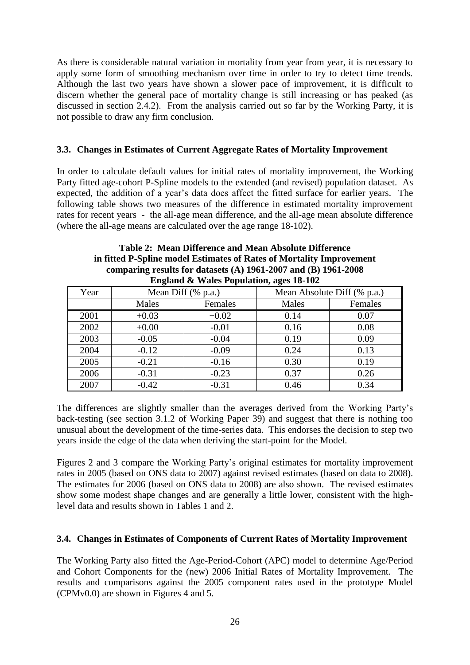As there is considerable natural variation in mortality from year from year, it is necessary to apply some form of smoothing mechanism over time in order to try to detect time trends. Although the last two years have shown a slower pace of improvement, it is difficult to discern whether the general pace of mortality change is still increasing or has peaked (as discussed in section [2.4.2\)](#page-8-0). From the analysis carried out so far by the Working Party, it is not possible to draw any firm conclusion.

#### <span id="page-25-0"></span>**3.3. Changes in Estimates of Current Aggregate Rates of Mortality Improvement**

In order to calculate default values for initial rates of mortality improvement, the Working Party fitted age-cohort P-Spline models to the extended (and revised) population dataset. As expected, the addition of a year"s data does affect the fitted surface for earlier years. The following table shows two measures of the difference in estimated mortality improvement rates for recent years - the all-age mean difference, and the all-age mean absolute difference (where the all-age means are calculated over the age range 18-102).

| comparing results for datasets $(A)$ 1901-2007 and $(B)$ 1901-2008 |                    |         |       |                             |  |  |  |  |  |
|--------------------------------------------------------------------|--------------------|---------|-------|-----------------------------|--|--|--|--|--|
| England & Wales Population, ages 18-102                            |                    |         |       |                             |  |  |  |  |  |
| Year                                                               | Mean Diff (% p.a.) |         |       | Mean Absolute Diff (% p.a.) |  |  |  |  |  |
|                                                                    | Males              | Females | Males | Females                     |  |  |  |  |  |
| 2001                                                               | $+0.03$            | $+0.02$ | 0.14  | 0.07                        |  |  |  |  |  |
| 2002                                                               | $+0.00$            | $-0.01$ | 0.16  | 0.08                        |  |  |  |  |  |
| 2003                                                               | $-0.05$            | $-0.04$ | 0.19  | 0.09                        |  |  |  |  |  |
| 2004                                                               | $-0.12$            | $-0.09$ | 0.24  | 0.13                        |  |  |  |  |  |
| 2005                                                               | $-0.21$            | $-0.16$ | 0.30  | 0.19                        |  |  |  |  |  |
| 2006                                                               | $-0.31$            | $-0.23$ | 0.37  | 0.26                        |  |  |  |  |  |
| 2007                                                               | $-0.42$            | $-0.31$ | 0.46  | 0.34                        |  |  |  |  |  |

## **Table 2: Mean Difference and Mean Absolute Difference in fitted P-Spline model Estimates of Rates of Mortality Improvement comparing results for datasets (A) 1961-2007 and (B) 1961-2008**

The differences are slightly smaller than the averages derived from the Working Party"s back-testing (see section 3.1.2 of Working Paper 39) and suggest that there is nothing too unusual about the development of the time-series data. This endorses the decision to step two years inside the edge of the data when deriving the start-point for the Model.

Figures 2 and 3 compare the Working Party's original estimates for mortality improvement rates in 2005 (based on ONS data to 2007) against revised estimates (based on data to 2008). The estimates for 2006 (based on ONS data to 2008) are also shown. The revised estimates show some modest shape changes and are generally a little lower, consistent with the highlevel data and results shown in Tables 1 and 2.

#### <span id="page-25-1"></span>**3.4. Changes in Estimates of Components of Current Rates of Mortality Improvement**

The Working Party also fitted the Age-Period-Cohort (APC) model to determine Age/Period and Cohort Components for the (new) 2006 Initial Rates of Mortality Improvement. The results and comparisons against the 2005 component rates used in the prototype Model (CPMv0.0) are shown in Figures 4 and 5.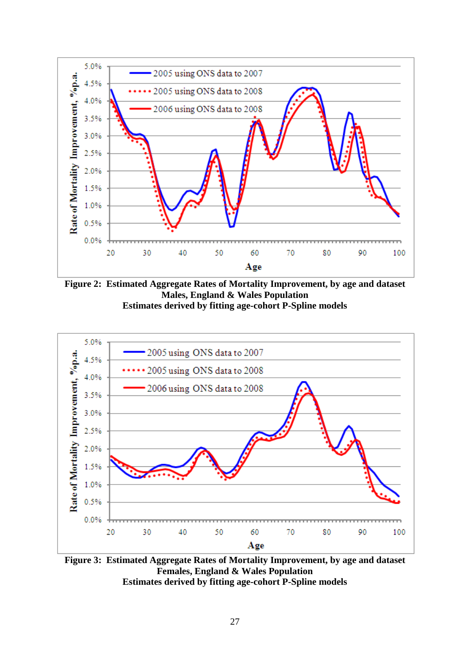

**Figure 2: Estimated Aggregate Rates of Mortality Improvement, by age and dataset Males, England & Wales Population Estimates derived by fitting age-cohort P-Spline models**



**Figure 3: Estimated Aggregate Rates of Mortality Improvement, by age and dataset Females, England & Wales Population Estimates derived by fitting age-cohort P-Spline models**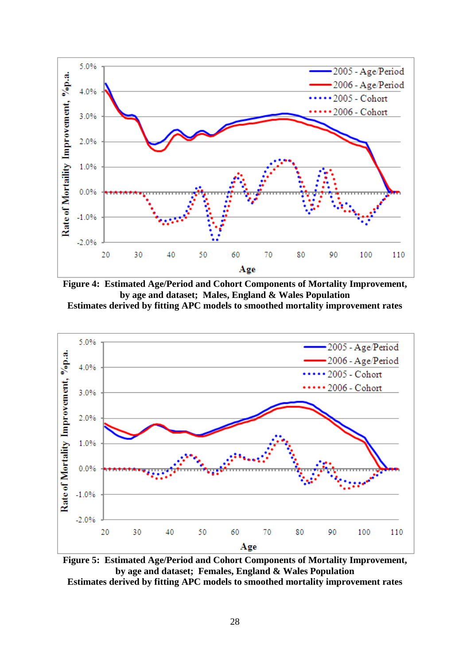

**Figure 4: Estimated Age/Period and Cohort Components of Mortality Improvement, by age and dataset; Males, England & Wales Population Estimates derived by fitting APC models to smoothed mortality improvement rates**



**Figure 5: Estimated Age/Period and Cohort Components of Mortality Improvement, by age and dataset; Females, England & Wales Population Estimates derived by fitting APC models to smoothed mortality improvement rates**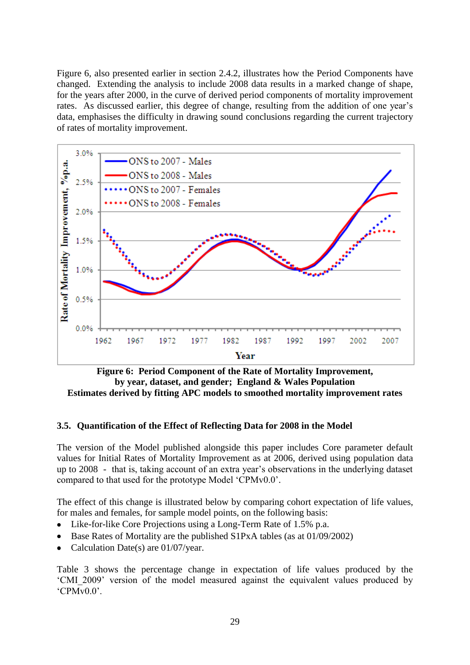Figure 6, also presented earlier in section [2.4.2,](#page-8-0) illustrates how the Period Components have changed. Extending the analysis to include 2008 data results in a marked change of shape, for the years after 2000, in the curve of derived period components of mortality improvement rates. As discussed earlier, this degree of change, resulting from the addition of one year's data, emphasises the difficulty in drawing sound conclusions regarding the current trajectory of rates of mortality improvement.



**Figure 6: Period Component of the Rate of Mortality Improvement, by year, dataset, and gender; England & Wales Population Estimates derived by fitting APC models to smoothed mortality improvement rates**

#### <span id="page-28-0"></span>**3.5. Quantification of the Effect of Reflecting Data for 2008 in the Model**

The version of the Model published alongside this paper includes Core parameter default values for Initial Rates of Mortality Improvement as at 2006, derived using population data up to 2008 - that is, taking account of an extra year"s observations in the underlying dataset compared to that used for the prototype Model "CPMv0.0".

The effect of this change is illustrated below by comparing cohort expectation of life values, for males and females, for sample model points, on the following basis:

- Like-for-like Core Projections using a Long-Term Rate of 1.5% p.a.  $\bullet$
- Base Rates of Mortality are the published S1PxA tables (as at 01/09/2002)
- Calculation Date(s) are 01/07/year.

Table 3 shows the percentage change in expectation of life values produced by the "CMI\_2009" version of the model measured against the equivalent values produced by "CPMv0.0".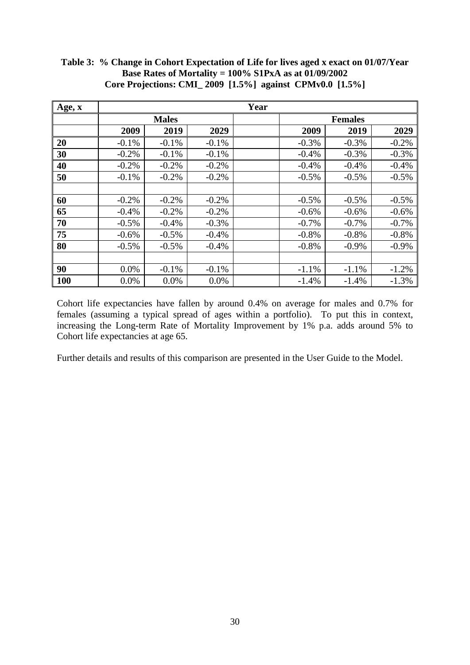| Age, x |              |         |         | Year           |         |          |         |
|--------|--------------|---------|---------|----------------|---------|----------|---------|
|        | <b>Males</b> |         |         | <b>Females</b> |         |          |         |
|        | 2009         | 2019    | 2029    |                | 2009    | 2019     | 2029    |
| 20     | $-0.1%$      | $-0.1%$ | $-0.1%$ |                | $-0.3%$ | $-0.3%$  | $-0.2%$ |
| 30     | $-0.2%$      | $-0.1%$ | $-0.1%$ |                | $-0.4%$ | $-0.3%$  | $-0.3%$ |
| 40     | $-0.2%$      | $-0.2%$ | $-0.2%$ |                | $-0.4%$ | $-0.4%$  | $-0.4%$ |
| 50     | $-0.1%$      | $-0.2%$ | $-0.2%$ |                | $-0.5%$ | $-0.5%$  | $-0.5%$ |
|        |              |         |         |                |         |          |         |
| 60     | $-0.2%$      | $-0.2%$ | $-0.2%$ |                | $-0.5%$ | $-0.5%$  | $-0.5%$ |
| 65     | $-0.4%$      | $-0.2%$ | $-0.2%$ |                | $-0.6%$ | $-0.6%$  | $-0.6%$ |
| 70     | $-0.5%$      | $-0.4%$ | $-0.3%$ |                | $-0.7%$ | $-0.7%$  | $-0.7%$ |
| 75     | $-0.6%$      | $-0.5%$ | $-0.4%$ |                | $-0.8%$ | $-0.8%$  | $-0.8%$ |
| 80     | $-0.5\%$     | $-0.5%$ | $-0.4%$ |                | $-0.8%$ | $-0.9\%$ | $-0.9%$ |
|        |              |         |         |                |         |          |         |
| 90     | 0.0%         | $-0.1%$ | $-0.1%$ |                | $-1.1%$ | $-1.1%$  | $-1.2%$ |
| 100    | 0.0%         | 0.0%    | 0.0%    |                | $-1.4%$ | $-1.4%$  | $-1.3%$ |

**Table 3: % Change in Cohort Expectation of Life for lives aged x exact on 01/07/Year Base Rates of Mortality = 100% S1PxA as at 01/09/2002 Core Projections: CMI\_ 2009 [1.5%] against CPMv0.0 [1.5%]**

Cohort life expectancies have fallen by around 0.4% on average for males and 0.7% for females (assuming a typical spread of ages within a portfolio). To put this in context, increasing the Long-term Rate of Mortality Improvement by 1% p.a. adds around 5% to Cohort life expectancies at age 65.

Further details and results of this comparison are presented in the User Guide to the Model.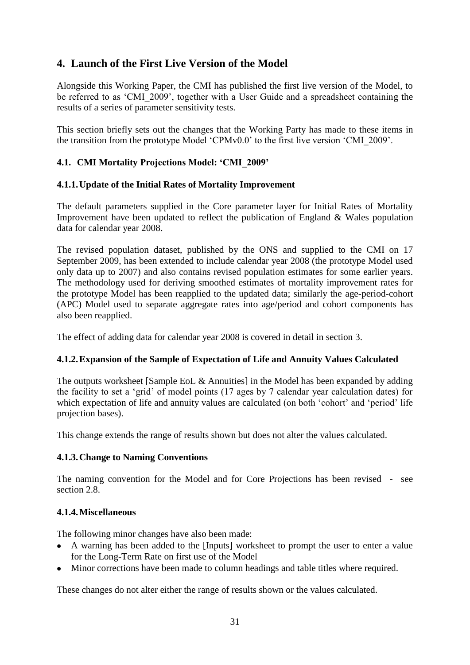## <span id="page-30-0"></span>**4. Launch of the First Live Version of the Model**

Alongside this Working Paper, the CMI has published the first live version of the Model, to be referred to as 'CMI\_2009', together with a User Guide and a spreadsheet containing the results of a series of parameter sensitivity tests.

This section briefly sets out the changes that the Working Party has made to these items in the transition from the prototype Model "CPMv0.0" to the first live version "CMI\_2009".

## <span id="page-30-1"></span>**4.1. CMI Mortality Projections Model: 'CMI\_2009'**

#### **4.1.1.Update of the Initial Rates of Mortality Improvement**

The default parameters supplied in the Core parameter layer for Initial Rates of Mortality Improvement have been updated to reflect the publication of England & Wales population data for calendar year 2008.

The revised population dataset, published by the ONS and supplied to the CMI on 17 September 2009, has been extended to include calendar year 2008 (the prototype Model used only data up to 2007) and also contains revised population estimates for some earlier years. The methodology used for deriving smoothed estimates of mortality improvement rates for the prototype Model has been reapplied to the updated data; similarly the age-period-cohort (APC) Model used to separate aggregate rates into age/period and cohort components has also been reapplied.

The effect of adding data for calendar year 2008 is covered in detail in section [3.](#page-24-0)

#### **4.1.2.Expansion of the Sample of Expectation of Life and Annuity Values Calculated**

The outputs worksheet [Sample EoL & Annuities] in the Model has been expanded by adding the facility to set a "grid" of model points (17 ages by 7 calendar year calculation dates) for which expectation of life and annuity values are calculated (on both 'cohort' and 'period' life projection bases).

This change extends the range of results shown but does not alter the values calculated.

#### **4.1.3.Change to Naming Conventions**

The naming convention for the Model and for Core Projections has been revised - see section [2.8.](#page-17-0)

#### **4.1.4.Miscellaneous**

The following minor changes have also been made:

- A warning has been added to the [Inputs] worksheet to prompt the user to enter a value  $\bullet$ for the Long-Term Rate on first use of the Model
- Minor corrections have been made to column headings and table titles where required.

These changes do not alter either the range of results shown or the values calculated.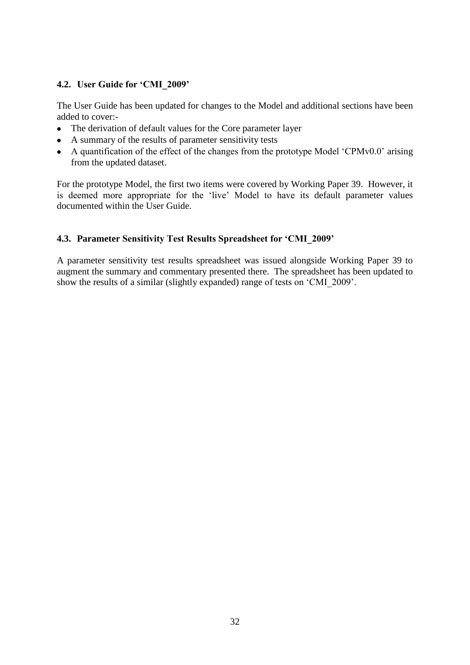### <span id="page-31-0"></span>**4.2. User Guide for 'CMI\_2009'**

The User Guide has been updated for changes to the Model and additional sections have been added to cover:-

- The derivation of default values for the Core parameter layer
- A summary of the results of parameter sensitivity tests
- A quantification of the effect of the changes from the prototype Model 'CPMv0.0' arising from the updated dataset.

For the prototype Model, the first two items were covered by Working Paper 39. However, it is deemed more appropriate for the "live" Model to have its default parameter values documented within the User Guide.

## <span id="page-31-1"></span>**4.3. Parameter Sensitivity Test Results Spreadsheet for 'CMI\_2009'**

A parameter sensitivity test results spreadsheet was issued alongside Working Paper 39 to augment the summary and commentary presented there. The spreadsheet has been updated to show the results of a similar (slightly expanded) range of tests on "CMI\_2009".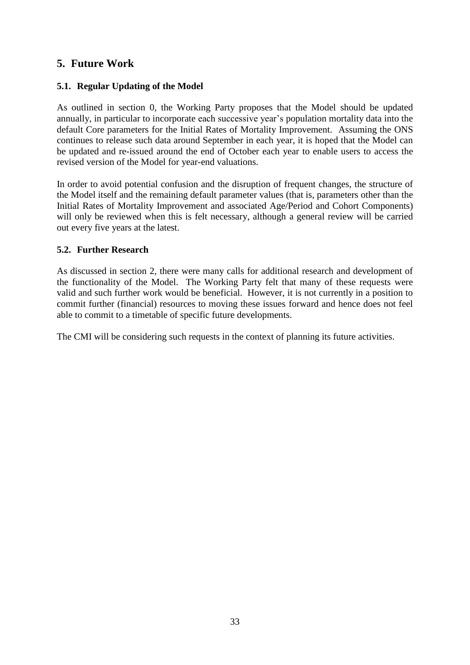## <span id="page-32-0"></span>**5. Future Work**

#### <span id="page-32-1"></span>**5.1. Regular Updating of the Model**

As outlined in section [0,](#page-19-0) the Working Party proposes that the Model should be updated annually, in particular to incorporate each successive year"s population mortality data into the default Core parameters for the Initial Rates of Mortality Improvement. Assuming the ONS continues to release such data around September in each year, it is hoped that the Model can be updated and re-issued around the end of October each year to enable users to access the revised version of the Model for year-end valuations.

In order to avoid potential confusion and the disruption of frequent changes, the structure of the Model itself and the remaining default parameter values (that is, parameters other than the Initial Rates of Mortality Improvement and associated Age/Period and Cohort Components) will only be reviewed when this is felt necessary, although a general review will be carried out every five years at the latest.

#### <span id="page-32-2"></span>**5.2. Further Research**

As discussed in section [2,](#page-6-0) there were many calls for additional research and development of the functionality of the Model. The Working Party felt that many of these requests were valid and such further work would be beneficial. However, it is not currently in a position to commit further (financial) resources to moving these issues forward and hence does not feel able to commit to a timetable of specific future developments.

The CMI will be considering such requests in the context of planning its future activities.